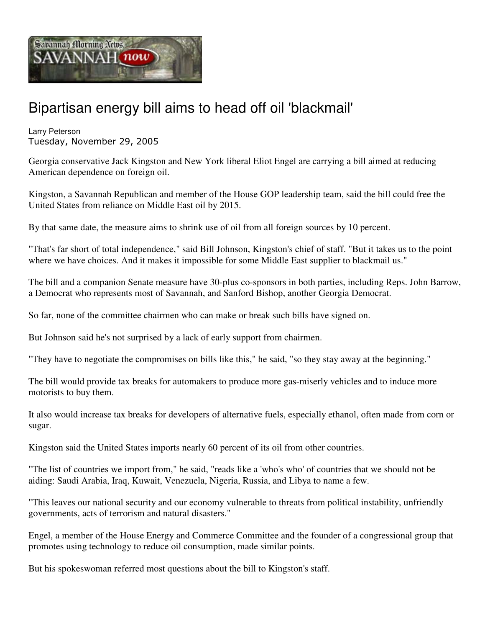

## Bipartisan energy bill aims to head off oil 'blackmail'

Larry Peterson Tuesday, November 29, 2005

Georgia conservative Jack Kingston and New York liberal Eliot Engel are carrying a bill aimed at reducing American dependence on foreign oil.

Kingston, a Savannah Republican and member of the House GOP leadership team, said the bill could free the United States from reliance on Middle East oil by 2015.

By that same date, the measure aims to shrink use of oil from all foreign sources by 10 percent.

"That's far short of total independence," said Bill Johnson, Kingston's chief of staff. "But it takes us to the point where we have choices. And it makes it impossible for some Middle East supplier to blackmail us."

The bill and a companion Senate measure have 30-plus co-sponsors in both parties, including Reps. John Barrow, a Democrat who represents most of Savannah, and Sanford Bishop, another Georgia Democrat.

So far, none of the committee chairmen who can make or break such bills have signed on.

But Johnson said he's not surprised by a lack of early support from chairmen.

"They have to negotiate the compromises on bills like this," he said, "so they stay away at the beginning."

The bill would provide tax breaks for automakers to produce more gas-miserly vehicles and to induce more motorists to buy them.

It also would increase tax breaks for developers of alternative fuels, especially ethanol, often made from corn or sugar.

Kingston said the United States imports nearly 60 percent of its oil from other countries.

"The list of countries we import from," he said, "reads like a 'who's who' of countries that we should not be aiding: Saudi Arabia, Iraq, Kuwait, Venezuela, Nigeria, Russia, and Libya to name a few.

"This leaves our national security and our economy vulnerable to threats from political instability, unfriendly governments, acts of terrorism and natural disasters."

Engel, a member of the House Energy and Commerce Committee and the founder of a congressional group that promotes using technology to reduce oil consumption, made similar points.

But his spokeswoman referred most questions about the bill to Kingston's staff.